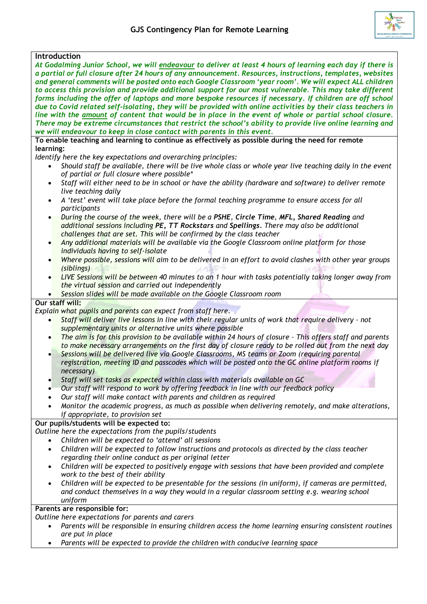

| <b>Introduction</b>                                                                                                   |  |  |  |  |
|-----------------------------------------------------------------------------------------------------------------------|--|--|--|--|
| At Godalming Junior School, we will endeavour to deliver at least 4 hours of learning each day if there is            |  |  |  |  |
| a partial or full closure after 24 hours of any announcement. Resources, instructions, templates, websites            |  |  |  |  |
| and general comments will be posted onto each Google Classroom 'year room'. We will expect ALL children               |  |  |  |  |
| to access this provision and provide additional support for our most vulnerable. This may take different              |  |  |  |  |
| forms including the offer of laptops and more bespoke resources if necessary. If children are off school              |  |  |  |  |
| due to Covid related self-isolating, they will be provided with online activities by their class teachers in          |  |  |  |  |
| line with the amount of content that would be in place in the event of whole or partial school closure.               |  |  |  |  |
| There may be extreme circumstances that restrict the school's ability to provide live online learning and             |  |  |  |  |
| we will endeavour to keep in close contact with parents in this event.                                                |  |  |  |  |
| To enable teaching and learning to continue as effectively as possible during the need for remote                     |  |  |  |  |
| learning:                                                                                                             |  |  |  |  |
| Identify here the key expectations and overarching principles:                                                        |  |  |  |  |
| Should staff be available, there will be live whole class or whole year live teaching daily in the event<br>$\bullet$ |  |  |  |  |
| of partial or full closure where possible*                                                                            |  |  |  |  |
| Staff will either need to be in school or have the ability (hardware and software) to deliver remote<br>$\bullet$     |  |  |  |  |
| live teaching daily                                                                                                   |  |  |  |  |
| A 'test' event will take place before the formal teaching programme to ensure access for all<br>$\bullet$             |  |  |  |  |
| participants                                                                                                          |  |  |  |  |
| During the course of the week, there will be a PSHE, Circle Time, MFL, Shared Reading and<br>$\bullet$                |  |  |  |  |
| additional sessions including PE, TT Rockstars and Spellings. There may also be additional                            |  |  |  |  |
| challenges that are set. This will be confirmed by the class teacher                                                  |  |  |  |  |
| Any additional materials will be available via the Google Classroom online platform for those<br>$\bullet$            |  |  |  |  |
| individuals having to self-isolate                                                                                    |  |  |  |  |
| Where possible, sessions will aim to be delivered in an effort to avoid clashes with other year groups<br>$\bullet$   |  |  |  |  |
| (siblings)                                                                                                            |  |  |  |  |
| LIVE Sessions will be between 40 minutes to an 1 hour with tasks potentially taking longer away from<br>$\bullet$     |  |  |  |  |
| the virtual session and carried out independently                                                                     |  |  |  |  |
| Session slides will be made available on the Google Classroom room                                                    |  |  |  |  |
| Our staff will:                                                                                                       |  |  |  |  |
|                                                                                                                       |  |  |  |  |
| Explain what pupils and parents can expect from staff here.                                                           |  |  |  |  |
| Staff will deliver live lessons in line with their regular units of work that require delivery - not<br>$\bullet$     |  |  |  |  |
| supplementary units or alternative units where possible                                                               |  |  |  |  |
| The aim is for this provision to be available within 24 hours of closure - This offers staff and parents<br>$\bullet$ |  |  |  |  |
| to make necessary arrangements on the first day of closure ready to be rolled out from the next day                   |  |  |  |  |
| Sessions will be delivered live via Google Classrooms, MS teams or Zoom (requiring parental                           |  |  |  |  |
| registration, meeting ID and passcodes which will be posted onto the GC online platform rooms if                      |  |  |  |  |
| necessary)                                                                                                            |  |  |  |  |
| Staff will set tasks as expected within class with materials available on GC                                          |  |  |  |  |
| Our staff will respond to work by offering feedback in line with our feedback policy                                  |  |  |  |  |
| Our staff will make contact with parents and children as required                                                     |  |  |  |  |
| Monitor the academic progress, as much as possible when delivering remotely, and make alterations,                    |  |  |  |  |
| if appropriate, to provision set                                                                                      |  |  |  |  |
| Our pupils/students will be expected to:                                                                              |  |  |  |  |
| Outline here the expectations from the pupils/students                                                                |  |  |  |  |
| Children will be expected to 'attend' all sessions                                                                    |  |  |  |  |
| Children will be expected to follow instructions and protocols as directed by the class teacher<br>$\bullet$          |  |  |  |  |
| regarding their online conduct as per original letter                                                                 |  |  |  |  |
| Children will be expected to positively engage with sessions that have been provided and complete<br>$\bullet$        |  |  |  |  |
| work to the best of their ability                                                                                     |  |  |  |  |
| Children will be expected to be presentable for the sessions (in uniform), if cameras are permitted,<br>٠             |  |  |  |  |
| and conduct themselves in a way they would in a regular classroom setting e.g. wearing school                         |  |  |  |  |
| uniform                                                                                                               |  |  |  |  |
| Parents are responsible for:                                                                                          |  |  |  |  |
| Outline here expectations for parents and carers                                                                      |  |  |  |  |
|                                                                                                                       |  |  |  |  |

- *Parents will be responsible in ensuring children access the home learning ensuring consistent routines are put in place*
- *Parents will be expected to provide the children with conducive learning space*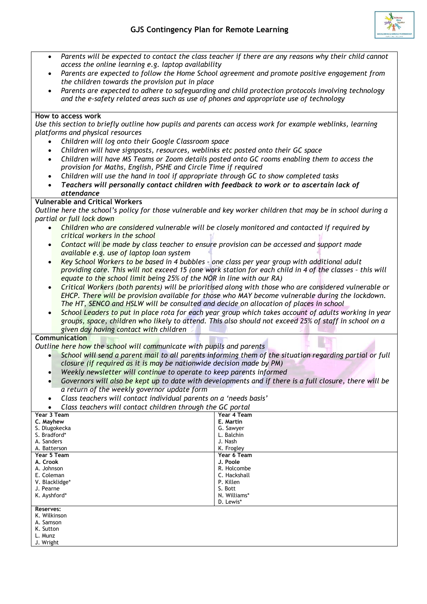

| Parents are expected to follow the Home School agreement and promote positive engagement from<br>$\bullet$<br>the children towards the provision put in place<br>Parents are expected to adhere to safeguarding and child protection protocols involving technology<br>$\bullet$<br>and the e-safety related areas such as use of phones and appropriate use of technology<br>How to access work<br>Use this section to briefly outline how pupils and parents can access work for example weblinks, learning<br>platforms and physical resources<br>Children will log onto their Google Classroom space<br>Children will have signposts, resources, weblinks etc posted onto their GC space<br>٠<br>Children will have MS Teams or Zoom details posted onto GC rooms enabling them to access the<br>$\bullet$<br>provision for Maths, English, PSHE and Circle Time if required<br>Children will use the hand in tool if appropriate through GC to show completed tasks<br>$\bullet$<br>Teachers will personally contact children with feedback to work or to ascertain lack of<br>$\bullet$<br>attendance<br><b>Vulnerable and Critical Workers</b><br>Outline here the school's policy for those vulnerable and key worker children that may be in school during a<br>partial or full lock down<br>Children who are considered vulnerable will be closely monitored and contacted if required by<br>$\bullet$<br>critical workers in the school<br>Contact will be made by class teacher to ensure provision can be accessed and support made<br>$\bullet$<br>available e.g. use of laptop loan system<br>Key School Workers to be based in 4 bubbles - one class per year group with additional adult<br>$\bullet$<br>providing care. This will not exceed 15 (one work station for each child in 4 of the classes - this will<br>equate to the school limit being 25% of the NOR in line with our RA)<br>Critical Workers (both parents) will be prioritised along with those who are considered vulnerable or<br>EHCP. There will be provision available for those who MAY become vulnerable during the lockdown.<br>The HT, SENCO and HSLW will be consulted and decide on allocation of places in school<br>School Leaders to put in place rota for each year group which takes account of adults working in year<br>$\bullet$<br>groups, space, children who likely to attend. This also should not exceed 25% of staff in school on a<br>given day having contact with children<br><b>Communication</b><br>Outline here how the school will communicate with pupils and parents<br>School will send a parent mail to all parents informing them of the situation regarding partial or full<br>closure (if required as it is may be nationwide decision made by PM)<br>Weekly newsletter will continue to operate to keep parents informed<br>Governors will also be kept up to date with developments and if there is a full closure, there will be<br>$\bullet$<br>a return of the weekly governor update form<br>Class teachers will contact individual parents on a 'needs basis'<br>Class teachers will contact children through the GC portal<br>Year 3 Team<br>Year 4 Team<br>C. Mayhew<br>E. Martin<br>S. Dlugokecka<br>G. Sawyer<br>S. Bradford*<br>L. Balchin<br>A. Sanders<br>J. Nash<br>A. Batterson<br>K. Frogley<br>Year 5 Team<br>Year 6 Team<br>A. Crook<br>J. Poole<br>A. Johnson<br>R. Holcombe<br>C. Hackshall<br>E. Coleman<br>P. Killen<br>V. Blacklidge*<br>S. Bott<br>J. Pearne<br>N. Williams*<br>K. Ayshford*<br>D. Lewis*<br>Reserves:<br>K. Wilkinson<br>A. Samson<br>K. Sutton<br>L. Munz | $\bullet$ | Parents will be expected to contact the class teacher if there are any reasons why their child cannot |  |  |  |  |
|--------------------------------------------------------------------------------------------------------------------------------------------------------------------------------------------------------------------------------------------------------------------------------------------------------------------------------------------------------------------------------------------------------------------------------------------------------------------------------------------------------------------------------------------------------------------------------------------------------------------------------------------------------------------------------------------------------------------------------------------------------------------------------------------------------------------------------------------------------------------------------------------------------------------------------------------------------------------------------------------------------------------------------------------------------------------------------------------------------------------------------------------------------------------------------------------------------------------------------------------------------------------------------------------------------------------------------------------------------------------------------------------------------------------------------------------------------------------------------------------------------------------------------------------------------------------------------------------------------------------------------------------------------------------------------------------------------------------------------------------------------------------------------------------------------------------------------------------------------------------------------------------------------------------------------------------------------------------------------------------------------------------------------------------------------------------------------------------------------------------------------------------------------------------------------------------------------------------------------------------------------------------------------------------------------------------------------------------------------------------------------------------------------------------------------------------------------------------------------------------------------------------------------------------------------------------------------------------------------------------------------------------------------------------------------------------------------------------------------------------------------------------------------------------------------------------------------------------------------------------------------------------------------------------------------------------------------------------------------------------------------------------------------------------------------------------------------------------------------------------------------------------------------------------------------------------------------------------------------------------------------------------------------------------------------------------------------------------------------------------------------------------------------------------------------------------------------------------------------------------------------------------------------------------------------------------------------------------------------------------------------|-----------|-------------------------------------------------------------------------------------------------------|--|--|--|--|
|                                                                                                                                                                                                                                                                                                                                                                                                                                                                                                                                                                                                                                                                                                                                                                                                                                                                                                                                                                                                                                                                                                                                                                                                                                                                                                                                                                                                                                                                                                                                                                                                                                                                                                                                                                                                                                                                                                                                                                                                                                                                                                                                                                                                                                                                                                                                                                                                                                                                                                                                                                                                                                                                                                                                                                                                                                                                                                                                                                                                                                                                                                                                                                                                                                                                                                                                                                                                                                                                                                                                                                                                                                |           | access the online learning e.g. laptop availability                                                   |  |  |  |  |
|                                                                                                                                                                                                                                                                                                                                                                                                                                                                                                                                                                                                                                                                                                                                                                                                                                                                                                                                                                                                                                                                                                                                                                                                                                                                                                                                                                                                                                                                                                                                                                                                                                                                                                                                                                                                                                                                                                                                                                                                                                                                                                                                                                                                                                                                                                                                                                                                                                                                                                                                                                                                                                                                                                                                                                                                                                                                                                                                                                                                                                                                                                                                                                                                                                                                                                                                                                                                                                                                                                                                                                                                                                |           |                                                                                                       |  |  |  |  |
|                                                                                                                                                                                                                                                                                                                                                                                                                                                                                                                                                                                                                                                                                                                                                                                                                                                                                                                                                                                                                                                                                                                                                                                                                                                                                                                                                                                                                                                                                                                                                                                                                                                                                                                                                                                                                                                                                                                                                                                                                                                                                                                                                                                                                                                                                                                                                                                                                                                                                                                                                                                                                                                                                                                                                                                                                                                                                                                                                                                                                                                                                                                                                                                                                                                                                                                                                                                                                                                                                                                                                                                                                                |           |                                                                                                       |  |  |  |  |
|                                                                                                                                                                                                                                                                                                                                                                                                                                                                                                                                                                                                                                                                                                                                                                                                                                                                                                                                                                                                                                                                                                                                                                                                                                                                                                                                                                                                                                                                                                                                                                                                                                                                                                                                                                                                                                                                                                                                                                                                                                                                                                                                                                                                                                                                                                                                                                                                                                                                                                                                                                                                                                                                                                                                                                                                                                                                                                                                                                                                                                                                                                                                                                                                                                                                                                                                                                                                                                                                                                                                                                                                                                |           |                                                                                                       |  |  |  |  |
|                                                                                                                                                                                                                                                                                                                                                                                                                                                                                                                                                                                                                                                                                                                                                                                                                                                                                                                                                                                                                                                                                                                                                                                                                                                                                                                                                                                                                                                                                                                                                                                                                                                                                                                                                                                                                                                                                                                                                                                                                                                                                                                                                                                                                                                                                                                                                                                                                                                                                                                                                                                                                                                                                                                                                                                                                                                                                                                                                                                                                                                                                                                                                                                                                                                                                                                                                                                                                                                                                                                                                                                                                                |           |                                                                                                       |  |  |  |  |
|                                                                                                                                                                                                                                                                                                                                                                                                                                                                                                                                                                                                                                                                                                                                                                                                                                                                                                                                                                                                                                                                                                                                                                                                                                                                                                                                                                                                                                                                                                                                                                                                                                                                                                                                                                                                                                                                                                                                                                                                                                                                                                                                                                                                                                                                                                                                                                                                                                                                                                                                                                                                                                                                                                                                                                                                                                                                                                                                                                                                                                                                                                                                                                                                                                                                                                                                                                                                                                                                                                                                                                                                                                |           |                                                                                                       |  |  |  |  |
|                                                                                                                                                                                                                                                                                                                                                                                                                                                                                                                                                                                                                                                                                                                                                                                                                                                                                                                                                                                                                                                                                                                                                                                                                                                                                                                                                                                                                                                                                                                                                                                                                                                                                                                                                                                                                                                                                                                                                                                                                                                                                                                                                                                                                                                                                                                                                                                                                                                                                                                                                                                                                                                                                                                                                                                                                                                                                                                                                                                                                                                                                                                                                                                                                                                                                                                                                                                                                                                                                                                                                                                                                                |           |                                                                                                       |  |  |  |  |
|                                                                                                                                                                                                                                                                                                                                                                                                                                                                                                                                                                                                                                                                                                                                                                                                                                                                                                                                                                                                                                                                                                                                                                                                                                                                                                                                                                                                                                                                                                                                                                                                                                                                                                                                                                                                                                                                                                                                                                                                                                                                                                                                                                                                                                                                                                                                                                                                                                                                                                                                                                                                                                                                                                                                                                                                                                                                                                                                                                                                                                                                                                                                                                                                                                                                                                                                                                                                                                                                                                                                                                                                                                |           |                                                                                                       |  |  |  |  |
|                                                                                                                                                                                                                                                                                                                                                                                                                                                                                                                                                                                                                                                                                                                                                                                                                                                                                                                                                                                                                                                                                                                                                                                                                                                                                                                                                                                                                                                                                                                                                                                                                                                                                                                                                                                                                                                                                                                                                                                                                                                                                                                                                                                                                                                                                                                                                                                                                                                                                                                                                                                                                                                                                                                                                                                                                                                                                                                                                                                                                                                                                                                                                                                                                                                                                                                                                                                                                                                                                                                                                                                                                                |           |                                                                                                       |  |  |  |  |
|                                                                                                                                                                                                                                                                                                                                                                                                                                                                                                                                                                                                                                                                                                                                                                                                                                                                                                                                                                                                                                                                                                                                                                                                                                                                                                                                                                                                                                                                                                                                                                                                                                                                                                                                                                                                                                                                                                                                                                                                                                                                                                                                                                                                                                                                                                                                                                                                                                                                                                                                                                                                                                                                                                                                                                                                                                                                                                                                                                                                                                                                                                                                                                                                                                                                                                                                                                                                                                                                                                                                                                                                                                |           |                                                                                                       |  |  |  |  |
|                                                                                                                                                                                                                                                                                                                                                                                                                                                                                                                                                                                                                                                                                                                                                                                                                                                                                                                                                                                                                                                                                                                                                                                                                                                                                                                                                                                                                                                                                                                                                                                                                                                                                                                                                                                                                                                                                                                                                                                                                                                                                                                                                                                                                                                                                                                                                                                                                                                                                                                                                                                                                                                                                                                                                                                                                                                                                                                                                                                                                                                                                                                                                                                                                                                                                                                                                                                                                                                                                                                                                                                                                                |           |                                                                                                       |  |  |  |  |
|                                                                                                                                                                                                                                                                                                                                                                                                                                                                                                                                                                                                                                                                                                                                                                                                                                                                                                                                                                                                                                                                                                                                                                                                                                                                                                                                                                                                                                                                                                                                                                                                                                                                                                                                                                                                                                                                                                                                                                                                                                                                                                                                                                                                                                                                                                                                                                                                                                                                                                                                                                                                                                                                                                                                                                                                                                                                                                                                                                                                                                                                                                                                                                                                                                                                                                                                                                                                                                                                                                                                                                                                                                |           |                                                                                                       |  |  |  |  |
|                                                                                                                                                                                                                                                                                                                                                                                                                                                                                                                                                                                                                                                                                                                                                                                                                                                                                                                                                                                                                                                                                                                                                                                                                                                                                                                                                                                                                                                                                                                                                                                                                                                                                                                                                                                                                                                                                                                                                                                                                                                                                                                                                                                                                                                                                                                                                                                                                                                                                                                                                                                                                                                                                                                                                                                                                                                                                                                                                                                                                                                                                                                                                                                                                                                                                                                                                                                                                                                                                                                                                                                                                                |           |                                                                                                       |  |  |  |  |
|                                                                                                                                                                                                                                                                                                                                                                                                                                                                                                                                                                                                                                                                                                                                                                                                                                                                                                                                                                                                                                                                                                                                                                                                                                                                                                                                                                                                                                                                                                                                                                                                                                                                                                                                                                                                                                                                                                                                                                                                                                                                                                                                                                                                                                                                                                                                                                                                                                                                                                                                                                                                                                                                                                                                                                                                                                                                                                                                                                                                                                                                                                                                                                                                                                                                                                                                                                                                                                                                                                                                                                                                                                |           |                                                                                                       |  |  |  |  |
|                                                                                                                                                                                                                                                                                                                                                                                                                                                                                                                                                                                                                                                                                                                                                                                                                                                                                                                                                                                                                                                                                                                                                                                                                                                                                                                                                                                                                                                                                                                                                                                                                                                                                                                                                                                                                                                                                                                                                                                                                                                                                                                                                                                                                                                                                                                                                                                                                                                                                                                                                                                                                                                                                                                                                                                                                                                                                                                                                                                                                                                                                                                                                                                                                                                                                                                                                                                                                                                                                                                                                                                                                                |           |                                                                                                       |  |  |  |  |
|                                                                                                                                                                                                                                                                                                                                                                                                                                                                                                                                                                                                                                                                                                                                                                                                                                                                                                                                                                                                                                                                                                                                                                                                                                                                                                                                                                                                                                                                                                                                                                                                                                                                                                                                                                                                                                                                                                                                                                                                                                                                                                                                                                                                                                                                                                                                                                                                                                                                                                                                                                                                                                                                                                                                                                                                                                                                                                                                                                                                                                                                                                                                                                                                                                                                                                                                                                                                                                                                                                                                                                                                                                |           |                                                                                                       |  |  |  |  |
|                                                                                                                                                                                                                                                                                                                                                                                                                                                                                                                                                                                                                                                                                                                                                                                                                                                                                                                                                                                                                                                                                                                                                                                                                                                                                                                                                                                                                                                                                                                                                                                                                                                                                                                                                                                                                                                                                                                                                                                                                                                                                                                                                                                                                                                                                                                                                                                                                                                                                                                                                                                                                                                                                                                                                                                                                                                                                                                                                                                                                                                                                                                                                                                                                                                                                                                                                                                                                                                                                                                                                                                                                                |           |                                                                                                       |  |  |  |  |
|                                                                                                                                                                                                                                                                                                                                                                                                                                                                                                                                                                                                                                                                                                                                                                                                                                                                                                                                                                                                                                                                                                                                                                                                                                                                                                                                                                                                                                                                                                                                                                                                                                                                                                                                                                                                                                                                                                                                                                                                                                                                                                                                                                                                                                                                                                                                                                                                                                                                                                                                                                                                                                                                                                                                                                                                                                                                                                                                                                                                                                                                                                                                                                                                                                                                                                                                                                                                                                                                                                                                                                                                                                |           |                                                                                                       |  |  |  |  |
|                                                                                                                                                                                                                                                                                                                                                                                                                                                                                                                                                                                                                                                                                                                                                                                                                                                                                                                                                                                                                                                                                                                                                                                                                                                                                                                                                                                                                                                                                                                                                                                                                                                                                                                                                                                                                                                                                                                                                                                                                                                                                                                                                                                                                                                                                                                                                                                                                                                                                                                                                                                                                                                                                                                                                                                                                                                                                                                                                                                                                                                                                                                                                                                                                                                                                                                                                                                                                                                                                                                                                                                                                                |           |                                                                                                       |  |  |  |  |
|                                                                                                                                                                                                                                                                                                                                                                                                                                                                                                                                                                                                                                                                                                                                                                                                                                                                                                                                                                                                                                                                                                                                                                                                                                                                                                                                                                                                                                                                                                                                                                                                                                                                                                                                                                                                                                                                                                                                                                                                                                                                                                                                                                                                                                                                                                                                                                                                                                                                                                                                                                                                                                                                                                                                                                                                                                                                                                                                                                                                                                                                                                                                                                                                                                                                                                                                                                                                                                                                                                                                                                                                                                |           |                                                                                                       |  |  |  |  |
|                                                                                                                                                                                                                                                                                                                                                                                                                                                                                                                                                                                                                                                                                                                                                                                                                                                                                                                                                                                                                                                                                                                                                                                                                                                                                                                                                                                                                                                                                                                                                                                                                                                                                                                                                                                                                                                                                                                                                                                                                                                                                                                                                                                                                                                                                                                                                                                                                                                                                                                                                                                                                                                                                                                                                                                                                                                                                                                                                                                                                                                                                                                                                                                                                                                                                                                                                                                                                                                                                                                                                                                                                                |           |                                                                                                       |  |  |  |  |
|                                                                                                                                                                                                                                                                                                                                                                                                                                                                                                                                                                                                                                                                                                                                                                                                                                                                                                                                                                                                                                                                                                                                                                                                                                                                                                                                                                                                                                                                                                                                                                                                                                                                                                                                                                                                                                                                                                                                                                                                                                                                                                                                                                                                                                                                                                                                                                                                                                                                                                                                                                                                                                                                                                                                                                                                                                                                                                                                                                                                                                                                                                                                                                                                                                                                                                                                                                                                                                                                                                                                                                                                                                |           |                                                                                                       |  |  |  |  |
|                                                                                                                                                                                                                                                                                                                                                                                                                                                                                                                                                                                                                                                                                                                                                                                                                                                                                                                                                                                                                                                                                                                                                                                                                                                                                                                                                                                                                                                                                                                                                                                                                                                                                                                                                                                                                                                                                                                                                                                                                                                                                                                                                                                                                                                                                                                                                                                                                                                                                                                                                                                                                                                                                                                                                                                                                                                                                                                                                                                                                                                                                                                                                                                                                                                                                                                                                                                                                                                                                                                                                                                                                                |           |                                                                                                       |  |  |  |  |
|                                                                                                                                                                                                                                                                                                                                                                                                                                                                                                                                                                                                                                                                                                                                                                                                                                                                                                                                                                                                                                                                                                                                                                                                                                                                                                                                                                                                                                                                                                                                                                                                                                                                                                                                                                                                                                                                                                                                                                                                                                                                                                                                                                                                                                                                                                                                                                                                                                                                                                                                                                                                                                                                                                                                                                                                                                                                                                                                                                                                                                                                                                                                                                                                                                                                                                                                                                                                                                                                                                                                                                                                                                |           |                                                                                                       |  |  |  |  |
|                                                                                                                                                                                                                                                                                                                                                                                                                                                                                                                                                                                                                                                                                                                                                                                                                                                                                                                                                                                                                                                                                                                                                                                                                                                                                                                                                                                                                                                                                                                                                                                                                                                                                                                                                                                                                                                                                                                                                                                                                                                                                                                                                                                                                                                                                                                                                                                                                                                                                                                                                                                                                                                                                                                                                                                                                                                                                                                                                                                                                                                                                                                                                                                                                                                                                                                                                                                                                                                                                                                                                                                                                                |           |                                                                                                       |  |  |  |  |
|                                                                                                                                                                                                                                                                                                                                                                                                                                                                                                                                                                                                                                                                                                                                                                                                                                                                                                                                                                                                                                                                                                                                                                                                                                                                                                                                                                                                                                                                                                                                                                                                                                                                                                                                                                                                                                                                                                                                                                                                                                                                                                                                                                                                                                                                                                                                                                                                                                                                                                                                                                                                                                                                                                                                                                                                                                                                                                                                                                                                                                                                                                                                                                                                                                                                                                                                                                                                                                                                                                                                                                                                                                |           |                                                                                                       |  |  |  |  |
|                                                                                                                                                                                                                                                                                                                                                                                                                                                                                                                                                                                                                                                                                                                                                                                                                                                                                                                                                                                                                                                                                                                                                                                                                                                                                                                                                                                                                                                                                                                                                                                                                                                                                                                                                                                                                                                                                                                                                                                                                                                                                                                                                                                                                                                                                                                                                                                                                                                                                                                                                                                                                                                                                                                                                                                                                                                                                                                                                                                                                                                                                                                                                                                                                                                                                                                                                                                                                                                                                                                                                                                                                                |           |                                                                                                       |  |  |  |  |
|                                                                                                                                                                                                                                                                                                                                                                                                                                                                                                                                                                                                                                                                                                                                                                                                                                                                                                                                                                                                                                                                                                                                                                                                                                                                                                                                                                                                                                                                                                                                                                                                                                                                                                                                                                                                                                                                                                                                                                                                                                                                                                                                                                                                                                                                                                                                                                                                                                                                                                                                                                                                                                                                                                                                                                                                                                                                                                                                                                                                                                                                                                                                                                                                                                                                                                                                                                                                                                                                                                                                                                                                                                |           |                                                                                                       |  |  |  |  |
|                                                                                                                                                                                                                                                                                                                                                                                                                                                                                                                                                                                                                                                                                                                                                                                                                                                                                                                                                                                                                                                                                                                                                                                                                                                                                                                                                                                                                                                                                                                                                                                                                                                                                                                                                                                                                                                                                                                                                                                                                                                                                                                                                                                                                                                                                                                                                                                                                                                                                                                                                                                                                                                                                                                                                                                                                                                                                                                                                                                                                                                                                                                                                                                                                                                                                                                                                                                                                                                                                                                                                                                                                                |           |                                                                                                       |  |  |  |  |
|                                                                                                                                                                                                                                                                                                                                                                                                                                                                                                                                                                                                                                                                                                                                                                                                                                                                                                                                                                                                                                                                                                                                                                                                                                                                                                                                                                                                                                                                                                                                                                                                                                                                                                                                                                                                                                                                                                                                                                                                                                                                                                                                                                                                                                                                                                                                                                                                                                                                                                                                                                                                                                                                                                                                                                                                                                                                                                                                                                                                                                                                                                                                                                                                                                                                                                                                                                                                                                                                                                                                                                                                                                |           |                                                                                                       |  |  |  |  |
|                                                                                                                                                                                                                                                                                                                                                                                                                                                                                                                                                                                                                                                                                                                                                                                                                                                                                                                                                                                                                                                                                                                                                                                                                                                                                                                                                                                                                                                                                                                                                                                                                                                                                                                                                                                                                                                                                                                                                                                                                                                                                                                                                                                                                                                                                                                                                                                                                                                                                                                                                                                                                                                                                                                                                                                                                                                                                                                                                                                                                                                                                                                                                                                                                                                                                                                                                                                                                                                                                                                                                                                                                                |           |                                                                                                       |  |  |  |  |
|                                                                                                                                                                                                                                                                                                                                                                                                                                                                                                                                                                                                                                                                                                                                                                                                                                                                                                                                                                                                                                                                                                                                                                                                                                                                                                                                                                                                                                                                                                                                                                                                                                                                                                                                                                                                                                                                                                                                                                                                                                                                                                                                                                                                                                                                                                                                                                                                                                                                                                                                                                                                                                                                                                                                                                                                                                                                                                                                                                                                                                                                                                                                                                                                                                                                                                                                                                                                                                                                                                                                                                                                                                |           |                                                                                                       |  |  |  |  |
|                                                                                                                                                                                                                                                                                                                                                                                                                                                                                                                                                                                                                                                                                                                                                                                                                                                                                                                                                                                                                                                                                                                                                                                                                                                                                                                                                                                                                                                                                                                                                                                                                                                                                                                                                                                                                                                                                                                                                                                                                                                                                                                                                                                                                                                                                                                                                                                                                                                                                                                                                                                                                                                                                                                                                                                                                                                                                                                                                                                                                                                                                                                                                                                                                                                                                                                                                                                                                                                                                                                                                                                                                                |           |                                                                                                       |  |  |  |  |
|                                                                                                                                                                                                                                                                                                                                                                                                                                                                                                                                                                                                                                                                                                                                                                                                                                                                                                                                                                                                                                                                                                                                                                                                                                                                                                                                                                                                                                                                                                                                                                                                                                                                                                                                                                                                                                                                                                                                                                                                                                                                                                                                                                                                                                                                                                                                                                                                                                                                                                                                                                                                                                                                                                                                                                                                                                                                                                                                                                                                                                                                                                                                                                                                                                                                                                                                                                                                                                                                                                                                                                                                                                |           |                                                                                                       |  |  |  |  |
|                                                                                                                                                                                                                                                                                                                                                                                                                                                                                                                                                                                                                                                                                                                                                                                                                                                                                                                                                                                                                                                                                                                                                                                                                                                                                                                                                                                                                                                                                                                                                                                                                                                                                                                                                                                                                                                                                                                                                                                                                                                                                                                                                                                                                                                                                                                                                                                                                                                                                                                                                                                                                                                                                                                                                                                                                                                                                                                                                                                                                                                                                                                                                                                                                                                                                                                                                                                                                                                                                                                                                                                                                                |           |                                                                                                       |  |  |  |  |
|                                                                                                                                                                                                                                                                                                                                                                                                                                                                                                                                                                                                                                                                                                                                                                                                                                                                                                                                                                                                                                                                                                                                                                                                                                                                                                                                                                                                                                                                                                                                                                                                                                                                                                                                                                                                                                                                                                                                                                                                                                                                                                                                                                                                                                                                                                                                                                                                                                                                                                                                                                                                                                                                                                                                                                                                                                                                                                                                                                                                                                                                                                                                                                                                                                                                                                                                                                                                                                                                                                                                                                                                                                |           |                                                                                                       |  |  |  |  |
|                                                                                                                                                                                                                                                                                                                                                                                                                                                                                                                                                                                                                                                                                                                                                                                                                                                                                                                                                                                                                                                                                                                                                                                                                                                                                                                                                                                                                                                                                                                                                                                                                                                                                                                                                                                                                                                                                                                                                                                                                                                                                                                                                                                                                                                                                                                                                                                                                                                                                                                                                                                                                                                                                                                                                                                                                                                                                                                                                                                                                                                                                                                                                                                                                                                                                                                                                                                                                                                                                                                                                                                                                                |           |                                                                                                       |  |  |  |  |
|                                                                                                                                                                                                                                                                                                                                                                                                                                                                                                                                                                                                                                                                                                                                                                                                                                                                                                                                                                                                                                                                                                                                                                                                                                                                                                                                                                                                                                                                                                                                                                                                                                                                                                                                                                                                                                                                                                                                                                                                                                                                                                                                                                                                                                                                                                                                                                                                                                                                                                                                                                                                                                                                                                                                                                                                                                                                                                                                                                                                                                                                                                                                                                                                                                                                                                                                                                                                                                                                                                                                                                                                                                |           |                                                                                                       |  |  |  |  |
|                                                                                                                                                                                                                                                                                                                                                                                                                                                                                                                                                                                                                                                                                                                                                                                                                                                                                                                                                                                                                                                                                                                                                                                                                                                                                                                                                                                                                                                                                                                                                                                                                                                                                                                                                                                                                                                                                                                                                                                                                                                                                                                                                                                                                                                                                                                                                                                                                                                                                                                                                                                                                                                                                                                                                                                                                                                                                                                                                                                                                                                                                                                                                                                                                                                                                                                                                                                                                                                                                                                                                                                                                                |           |                                                                                                       |  |  |  |  |
|                                                                                                                                                                                                                                                                                                                                                                                                                                                                                                                                                                                                                                                                                                                                                                                                                                                                                                                                                                                                                                                                                                                                                                                                                                                                                                                                                                                                                                                                                                                                                                                                                                                                                                                                                                                                                                                                                                                                                                                                                                                                                                                                                                                                                                                                                                                                                                                                                                                                                                                                                                                                                                                                                                                                                                                                                                                                                                                                                                                                                                                                                                                                                                                                                                                                                                                                                                                                                                                                                                                                                                                                                                |           |                                                                                                       |  |  |  |  |
|                                                                                                                                                                                                                                                                                                                                                                                                                                                                                                                                                                                                                                                                                                                                                                                                                                                                                                                                                                                                                                                                                                                                                                                                                                                                                                                                                                                                                                                                                                                                                                                                                                                                                                                                                                                                                                                                                                                                                                                                                                                                                                                                                                                                                                                                                                                                                                                                                                                                                                                                                                                                                                                                                                                                                                                                                                                                                                                                                                                                                                                                                                                                                                                                                                                                                                                                                                                                                                                                                                                                                                                                                                |           |                                                                                                       |  |  |  |  |
|                                                                                                                                                                                                                                                                                                                                                                                                                                                                                                                                                                                                                                                                                                                                                                                                                                                                                                                                                                                                                                                                                                                                                                                                                                                                                                                                                                                                                                                                                                                                                                                                                                                                                                                                                                                                                                                                                                                                                                                                                                                                                                                                                                                                                                                                                                                                                                                                                                                                                                                                                                                                                                                                                                                                                                                                                                                                                                                                                                                                                                                                                                                                                                                                                                                                                                                                                                                                                                                                                                                                                                                                                                |           |                                                                                                       |  |  |  |  |
|                                                                                                                                                                                                                                                                                                                                                                                                                                                                                                                                                                                                                                                                                                                                                                                                                                                                                                                                                                                                                                                                                                                                                                                                                                                                                                                                                                                                                                                                                                                                                                                                                                                                                                                                                                                                                                                                                                                                                                                                                                                                                                                                                                                                                                                                                                                                                                                                                                                                                                                                                                                                                                                                                                                                                                                                                                                                                                                                                                                                                                                                                                                                                                                                                                                                                                                                                                                                                                                                                                                                                                                                                                |           |                                                                                                       |  |  |  |  |
|                                                                                                                                                                                                                                                                                                                                                                                                                                                                                                                                                                                                                                                                                                                                                                                                                                                                                                                                                                                                                                                                                                                                                                                                                                                                                                                                                                                                                                                                                                                                                                                                                                                                                                                                                                                                                                                                                                                                                                                                                                                                                                                                                                                                                                                                                                                                                                                                                                                                                                                                                                                                                                                                                                                                                                                                                                                                                                                                                                                                                                                                                                                                                                                                                                                                                                                                                                                                                                                                                                                                                                                                                                |           |                                                                                                       |  |  |  |  |
|                                                                                                                                                                                                                                                                                                                                                                                                                                                                                                                                                                                                                                                                                                                                                                                                                                                                                                                                                                                                                                                                                                                                                                                                                                                                                                                                                                                                                                                                                                                                                                                                                                                                                                                                                                                                                                                                                                                                                                                                                                                                                                                                                                                                                                                                                                                                                                                                                                                                                                                                                                                                                                                                                                                                                                                                                                                                                                                                                                                                                                                                                                                                                                                                                                                                                                                                                                                                                                                                                                                                                                                                                                |           |                                                                                                       |  |  |  |  |
|                                                                                                                                                                                                                                                                                                                                                                                                                                                                                                                                                                                                                                                                                                                                                                                                                                                                                                                                                                                                                                                                                                                                                                                                                                                                                                                                                                                                                                                                                                                                                                                                                                                                                                                                                                                                                                                                                                                                                                                                                                                                                                                                                                                                                                                                                                                                                                                                                                                                                                                                                                                                                                                                                                                                                                                                                                                                                                                                                                                                                                                                                                                                                                                                                                                                                                                                                                                                                                                                                                                                                                                                                                |           |                                                                                                       |  |  |  |  |
|                                                                                                                                                                                                                                                                                                                                                                                                                                                                                                                                                                                                                                                                                                                                                                                                                                                                                                                                                                                                                                                                                                                                                                                                                                                                                                                                                                                                                                                                                                                                                                                                                                                                                                                                                                                                                                                                                                                                                                                                                                                                                                                                                                                                                                                                                                                                                                                                                                                                                                                                                                                                                                                                                                                                                                                                                                                                                                                                                                                                                                                                                                                                                                                                                                                                                                                                                                                                                                                                                                                                                                                                                                |           |                                                                                                       |  |  |  |  |
|                                                                                                                                                                                                                                                                                                                                                                                                                                                                                                                                                                                                                                                                                                                                                                                                                                                                                                                                                                                                                                                                                                                                                                                                                                                                                                                                                                                                                                                                                                                                                                                                                                                                                                                                                                                                                                                                                                                                                                                                                                                                                                                                                                                                                                                                                                                                                                                                                                                                                                                                                                                                                                                                                                                                                                                                                                                                                                                                                                                                                                                                                                                                                                                                                                                                                                                                                                                                                                                                                                                                                                                                                                |           |                                                                                                       |  |  |  |  |
|                                                                                                                                                                                                                                                                                                                                                                                                                                                                                                                                                                                                                                                                                                                                                                                                                                                                                                                                                                                                                                                                                                                                                                                                                                                                                                                                                                                                                                                                                                                                                                                                                                                                                                                                                                                                                                                                                                                                                                                                                                                                                                                                                                                                                                                                                                                                                                                                                                                                                                                                                                                                                                                                                                                                                                                                                                                                                                                                                                                                                                                                                                                                                                                                                                                                                                                                                                                                                                                                                                                                                                                                                                |           |                                                                                                       |  |  |  |  |
|                                                                                                                                                                                                                                                                                                                                                                                                                                                                                                                                                                                                                                                                                                                                                                                                                                                                                                                                                                                                                                                                                                                                                                                                                                                                                                                                                                                                                                                                                                                                                                                                                                                                                                                                                                                                                                                                                                                                                                                                                                                                                                                                                                                                                                                                                                                                                                                                                                                                                                                                                                                                                                                                                                                                                                                                                                                                                                                                                                                                                                                                                                                                                                                                                                                                                                                                                                                                                                                                                                                                                                                                                                | J. Wright |                                                                                                       |  |  |  |  |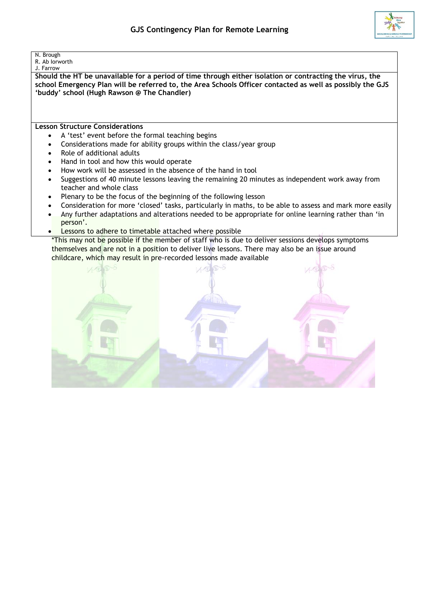

## N. Brough

R. Ab Iorworth J. Farrow

**Should the HT be unavailable for a period of time through either isolation or contracting the virus, the school Emergency Plan will be referred to, the Area Schools Officer contacted as well as possibly the GJS 'buddy' school (Hugh Rawson @ The Chandler)**

**Lesson Structure Considerations**

- A 'test' event before the formal teaching begins
- Considerations made for ability groups within the class/year group
- Role of additional adults
- Hand in tool and how this would operate
- How work will be assessed in the absence of the hand in tool
- Suggestions of 40 minute lessons leaving the remaining 20 minutes as independent work away from teacher and whole class
- Plenary to be the focus of the beginning of the following lesson
- Consideration for more 'closed' tasks, particularly in maths, to be able to assess and mark more easily
- Any further adaptations and alterations needed to be appropriate for online learning rather than 'in person'.
- Lessons to adhere to timetable attached where possible

\*This may not be possible if the member of staff who is due to deliver sessions develops symptoms themselves and are not in a position to deliver live lessons. There may also be an issue around childcare, which may result in pre-recorded lessons made available